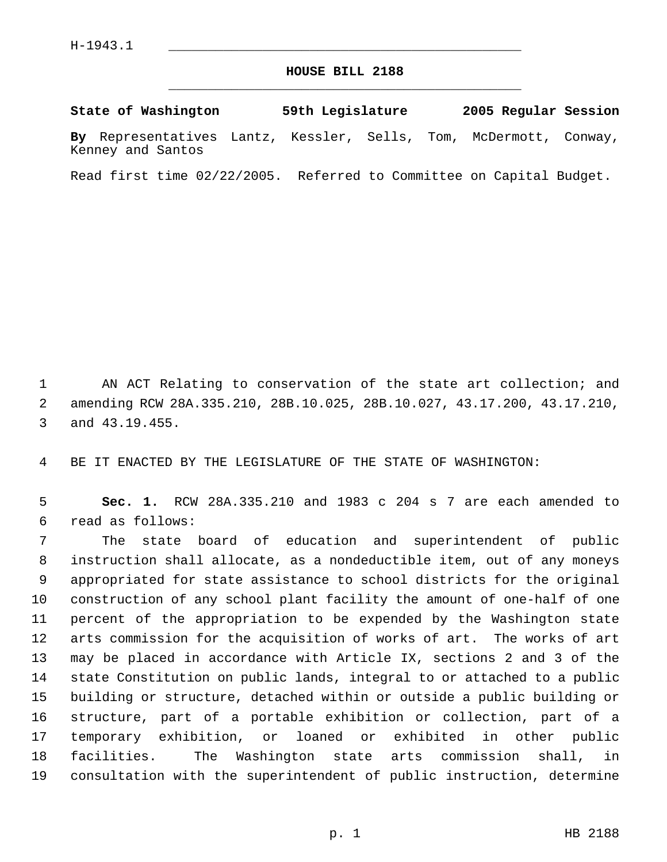## **HOUSE BILL 2188** \_\_\_\_\_\_\_\_\_\_\_\_\_\_\_\_\_\_\_\_\_\_\_\_\_\_\_\_\_\_\_\_\_\_\_\_\_\_\_\_\_\_\_\_\_

**State of Washington 59th Legislature 2005 Regular Session By** Representatives Lantz, Kessler, Sells, Tom, McDermott, Conway, Kenney and Santos

Read first time 02/22/2005. Referred to Committee on Capital Budget.

 AN ACT Relating to conservation of the state art collection; and amending RCW 28A.335.210, 28B.10.025, 28B.10.027, 43.17.200, 43.17.210, and 43.19.455.

BE IT ENACTED BY THE LEGISLATURE OF THE STATE OF WASHINGTON:

 **Sec. 1.** RCW 28A.335.210 and 1983 c 204 s 7 are each amended to read as follows:

 The state board of education and superintendent of public instruction shall allocate, as a nondeductible item, out of any moneys appropriated for state assistance to school districts for the original construction of any school plant facility the amount of one-half of one percent of the appropriation to be expended by the Washington state arts commission for the acquisition of works of art. The works of art may be placed in accordance with Article IX, sections 2 and 3 of the state Constitution on public lands, integral to or attached to a public building or structure, detached within or outside a public building or structure, part of a portable exhibition or collection, part of a temporary exhibition, or loaned or exhibited in other public facilities. The Washington state arts commission shall, in consultation with the superintendent of public instruction, determine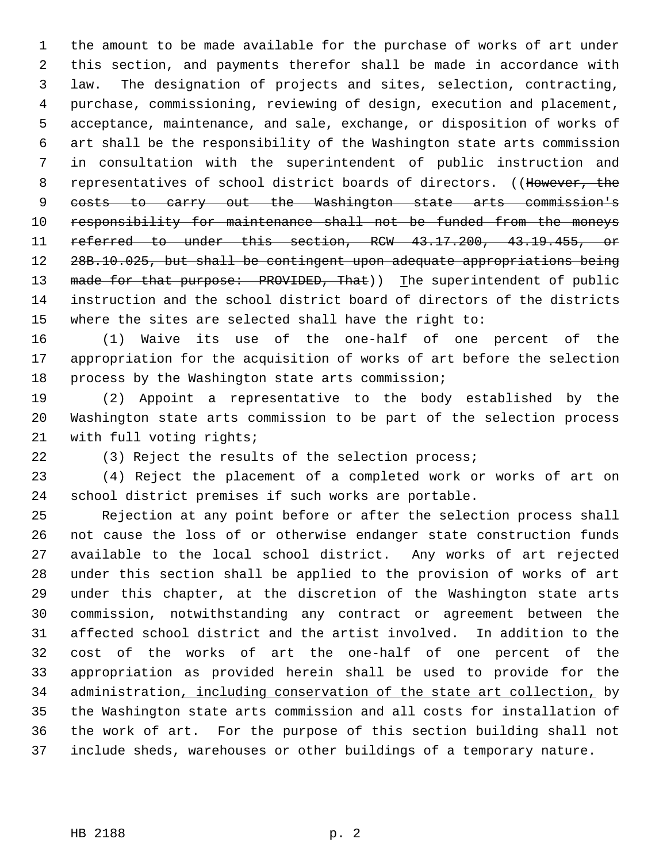the amount to be made available for the purchase of works of art under this section, and payments therefor shall be made in accordance with law. The designation of projects and sites, selection, contracting, purchase, commissioning, reviewing of design, execution and placement, acceptance, maintenance, and sale, exchange, or disposition of works of art shall be the responsibility of the Washington state arts commission in consultation with the superintendent of public instruction and 8 representatives of school district boards of directors. ((However, the costs to carry out the Washington state arts commission's responsibility for maintenance shall not be funded from the moneys referred to under this section, RCW 43.17.200, 43.19.455, or 28B.10.025, but shall be contingent upon adequate appropriations being 13 made for that purpose: PROVIDED, That)) The superintendent of public instruction and the school district board of directors of the districts where the sites are selected shall have the right to:

 (1) Waive its use of the one-half of one percent of the appropriation for the acquisition of works of art before the selection process by the Washington state arts commission;

 (2) Appoint a representative to the body established by the Washington state arts commission to be part of the selection process with full voting rights;

(3) Reject the results of the selection process;

 (4) Reject the placement of a completed work or works of art on school district premises if such works are portable.

 Rejection at any point before or after the selection process shall not cause the loss of or otherwise endanger state construction funds available to the local school district. Any works of art rejected under this section shall be applied to the provision of works of art under this chapter, at the discretion of the Washington state arts commission, notwithstanding any contract or agreement between the affected school district and the artist involved. In addition to the cost of the works of art the one-half of one percent of the appropriation as provided herein shall be used to provide for the 34 administration, including conservation of the state art collection, by the Washington state arts commission and all costs for installation of the work of art. For the purpose of this section building shall not include sheds, warehouses or other buildings of a temporary nature.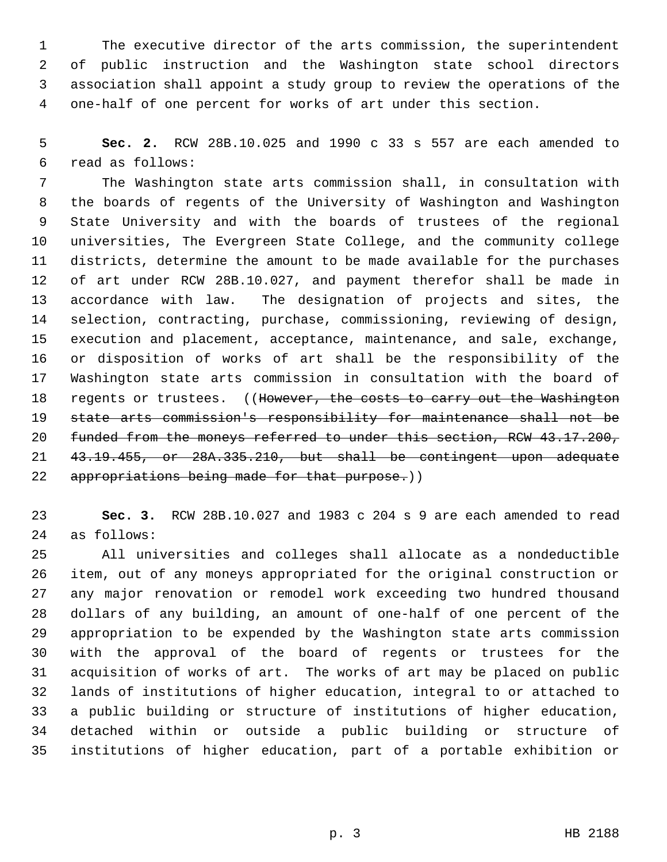The executive director of the arts commission, the superintendent of public instruction and the Washington state school directors association shall appoint a study group to review the operations of the one-half of one percent for works of art under this section.

 **Sec. 2.** RCW 28B.10.025 and 1990 c 33 s 557 are each amended to read as follows:

 The Washington state arts commission shall, in consultation with the boards of regents of the University of Washington and Washington State University and with the boards of trustees of the regional universities, The Evergreen State College, and the community college districts, determine the amount to be made available for the purchases of art under RCW 28B.10.027, and payment therefor shall be made in accordance with law. The designation of projects and sites, the selection, contracting, purchase, commissioning, reviewing of design, execution and placement, acceptance, maintenance, and sale, exchange, or disposition of works of art shall be the responsibility of the Washington state arts commission in consultation with the board of 18 regents or trustees. ((However, the costs to carry out the Washington state arts commission's responsibility for maintenance shall not be funded from the moneys referred to under this section, RCW 43.17.200, 43.19.455, or 28A.335.210, but shall be contingent upon adequate 22 appropriations being made for that purpose.))

 **Sec. 3.** RCW 28B.10.027 and 1983 c 204 s 9 are each amended to read as follows:

 All universities and colleges shall allocate as a nondeductible item, out of any moneys appropriated for the original construction or any major renovation or remodel work exceeding two hundred thousand dollars of any building, an amount of one-half of one percent of the appropriation to be expended by the Washington state arts commission with the approval of the board of regents or trustees for the acquisition of works of art. The works of art may be placed on public lands of institutions of higher education, integral to or attached to a public building or structure of institutions of higher education, detached within or outside a public building or structure of institutions of higher education, part of a portable exhibition or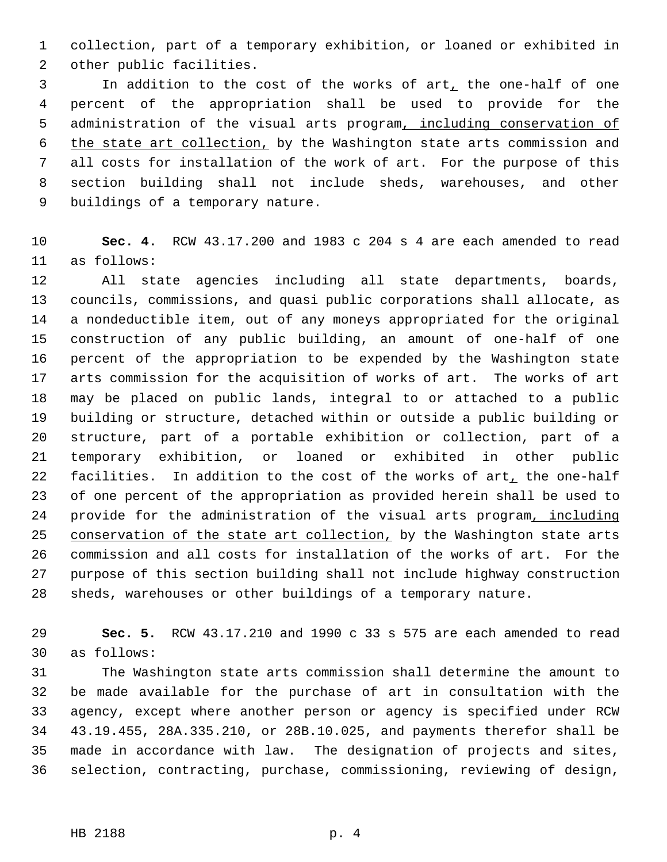collection, part of a temporary exhibition, or loaned or exhibited in other public facilities.

3 In addition to the cost of the works of art, the one-half of one percent of the appropriation shall be used to provide for the administration of the visual arts program, including conservation of the state art collection, by the Washington state arts commission and all costs for installation of the work of art. For the purpose of this section building shall not include sheds, warehouses, and other buildings of a temporary nature.

 **Sec. 4.** RCW 43.17.200 and 1983 c 204 s 4 are each amended to read as follows:

 All state agencies including all state departments, boards, councils, commissions, and quasi public corporations shall allocate, as a nondeductible item, out of any moneys appropriated for the original construction of any public building, an amount of one-half of one percent of the appropriation to be expended by the Washington state arts commission for the acquisition of works of art. The works of art may be placed on public lands, integral to or attached to a public building or structure, detached within or outside a public building or structure, part of a portable exhibition or collection, part of a temporary exhibition, or loaned or exhibited in other public 22 facilities. In addition to the cost of the works of art, the one-half of one percent of the appropriation as provided herein shall be used to provide for the administration of the visual arts program, including 25 conservation of the state art collection, by the Washington state arts commission and all costs for installation of the works of art. For the purpose of this section building shall not include highway construction sheds, warehouses or other buildings of a temporary nature.

 **Sec. 5.** RCW 43.17.210 and 1990 c 33 s 575 are each amended to read as follows:

 The Washington state arts commission shall determine the amount to be made available for the purchase of art in consultation with the agency, except where another person or agency is specified under RCW 43.19.455, 28A.335.210, or 28B.10.025, and payments therefor shall be made in accordance with law. The designation of projects and sites, selection, contracting, purchase, commissioning, reviewing of design,